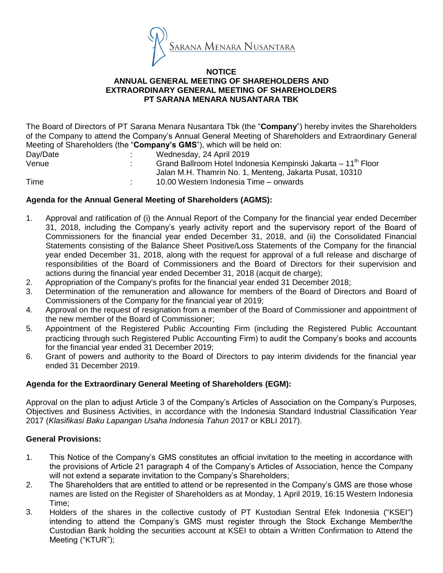

#### **NOTICE ANNUAL GENERAL MEETING OF SHAREHOLDERS AND EXTRAORDINARY GENERAL MEETING OF SHAREHOLDERS PT SARANA MENARA NUSANTARA TBK**

The Board of Directors of PT Sarana Menara Nusantara Tbk (the "**Company**") hereby invites the Shareholders of the Company to attend the Company's Annual General Meeting of Shareholders and Extraordinary General Meeting of Shareholders (the "**Company's GMS**"), which will be held on:

| Day/Date | $\sim$ | Wednesday, 24 April 2019                                                  |
|----------|--------|---------------------------------------------------------------------------|
| Venue    |        | Grand Ballroom Hotel Indonesia Kempinski Jakarta – 11 <sup>th</sup> Floor |
|          |        | Jalan M.H. Thamrin No. 1, Menteng, Jakarta Pusat, 10310                   |
| Time     |        | 10.00 Western Indonesia Time – onwards                                    |

# **Agenda for the Annual General Meeting of Shareholders (AGMS):**

- 1. Approval and ratification of (i) the Annual Report of the Company for the financial year ended December 31, 2018, including the Company's yearly activity report and the supervisory report of the Board of Commissioners for the financial year ended December 31, 2018, and (ii) the Consolidated Financial Statements consisting of the Balance Sheet Positive/Loss Statements of the Company for the financial year ended December 31, 2018, along with the request for approval of a full release and discharge of responsibilities of the Board of Commissioners and the Board of Directors for their supervision and actions during the financial year ended December 31, 2018 (acquit de charge);
- 2. Appropriation of the Company's profits for the financial year ended 31 December 2018;
- 3. Determination of the remuneration and allowance for members of the Board of Directors and Board of Commissioners of the Company for the financial year of 2019;
- 4. Approval on the request of resignation from a member of the Board of Commissioner and appointment of the new member of the Board of Commissioner;
- 5. Appointment of the Registered Public Accounting Firm (including the Registered Public Accountant practicing through such Registered Public Accounting Firm) to audit the Company's books and accounts for the financial year ended 31 December 2019;
- 6. Grant of powers and authority to the Board of Directors to pay interim dividends for the financial year ended 31 December 2019.

## **Agenda for the Extraordinary General Meeting of Shareholders (EGM):**

Approval on the plan to adjust Article 3 of the Company's Articles of Association on the Company's Purposes, Objectives and Business Activities, in accordance with the Indonesia Standard Industrial Classification Year 2017 (*Klasifikasi Baku Lapangan Usaha Indonesia Tahun* 2017 or KBLI 2017).

## **General Provisions:**

- 1. This Notice of the Company's GMS constitutes an official invitation to the meeting in accordance with the provisions of Article 21 paragraph 4 of the Company's Articles of Association, hence the Company will not extend a separate invitation to the Company's Shareholders;
- 2. The Shareholders that are entitled to attend or be represented in the Company's GMS are those whose names are listed on the Register of Shareholders as at Monday, 1 April 2019, 16:15 Western Indonesia Time;
- 3. Holders of the shares in the collective custody of PT Kustodian Sentral Efek Indonesia ("KSEI") intending to attend the Company's GMS must register through the Stock Exchange Member/the Custodian Bank holding the securities account at KSEI to obtain a Written Confirmation to Attend the Meeting ("KTUR");